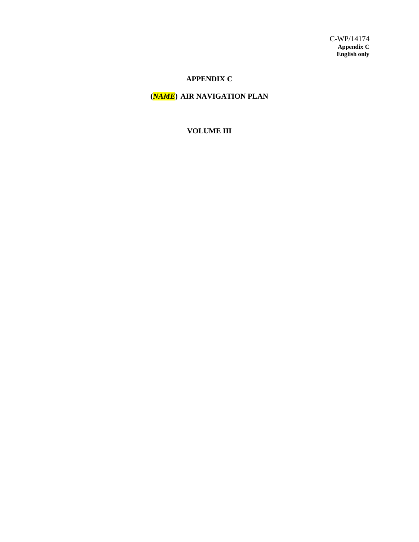## **APPENDIX C**

## **(***NAME***) AIR NAVIGATION PLAN**

## **VOLUME III**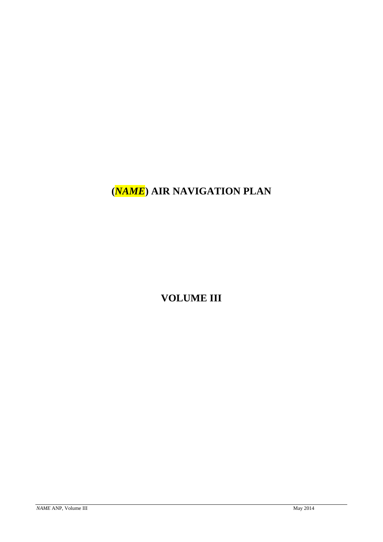# **(***NAME***) AIR NAVIGATION PLAN**

**VOLUME III**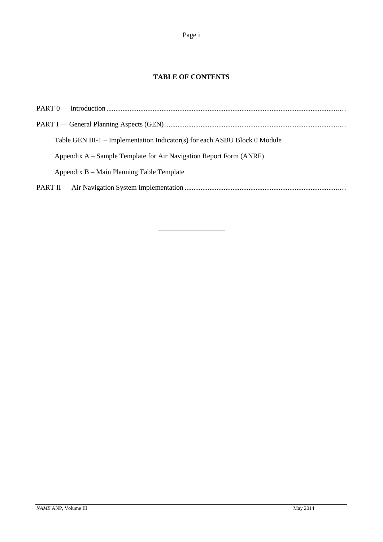## **TABLE OF CONTENTS**

| Table GEN III-1 – Implementation Indicator(s) for each ASBU Block 0 Module |
|----------------------------------------------------------------------------|
|                                                                            |
| Appendix A – Sample Template for Air Navigation Report Form (ANRF)         |
| Appendix B – Main Planning Table Template                                  |
|                                                                            |

\_\_\_\_\_\_\_\_\_\_\_\_\_\_\_\_\_\_\_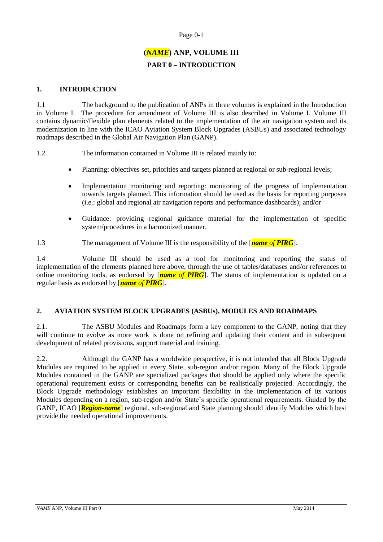## **(***NAME***) ANP, VOLUME III PART 0 – INTRODUCTION**

## **1. INTRODUCTION**

1.1 The background to the publication of ANPs in three volumes is explained in the Introduction in Volume I. The procedure for amendment of Volume III is also described in Volume I. Volume III contains dynamic/flexible plan elements related to the implementation of the air navigation system and its modernization in line with the ICAO Aviation System Block Upgrades (ASBUs) and associated technology roadmaps described in the Global Air Navigation Plan (GANP).

1.2 The information contained in Volume III is related mainly to:

- Planning: objectives set, priorities and targets planned at regional or sub-regional levels;
- Implementation monitoring and reporting: monitoring of the progress of implementation towards targets planned. This information should be used as the basis for reporting purposes (i.e.: global and regional air navigation reports and performance dashboards); and/or
- Guidance: providing regional guidance material for the implementation of specific system/procedures in a harmonized manner.
- 1.3 The management of Volume III is the responsibility of the [*name of PIRG*].

1.4 Volume III should be used as a tool for monitoring and reporting the status of implementation of the elements planned here above, through the use of tables/databases and/or references to online monitoring tools, as endorsed by [*name of PIRG*]. The status of implementation is updated on a regular basis as endorsed by [*name of PIRG*].

### **2. AVIATION SYSTEM BLOCK UPGRADES (ASBUs), MODULES AND ROADMAPS**

2.1. The ASBU Modules and Roadmaps form a key component to the GANP, noting that they will continue to evolve as more work is done on refining and updating their content and in subsequent development of related provisions, support material and training.

2.2. Although the GANP has a worldwide perspective, it is not intended that all Block Upgrade Modules are required to be applied in every State, sub-region and/or region. Many of the Block Upgrade Modules contained in the GANP are specialized packages that should be applied only where the specific operational requirement exists or corresponding benefits can be realistically projected. Accordingly, the Block Upgrade methodology establishes an important flexibility in the implementation of its various Modules depending on a region, sub-region and/or State's specific operational requirements. Guided by the GANP, ICAO [*Region-name*] regional, sub-regional and State planning should identify Modules which best provide the needed operational improvements.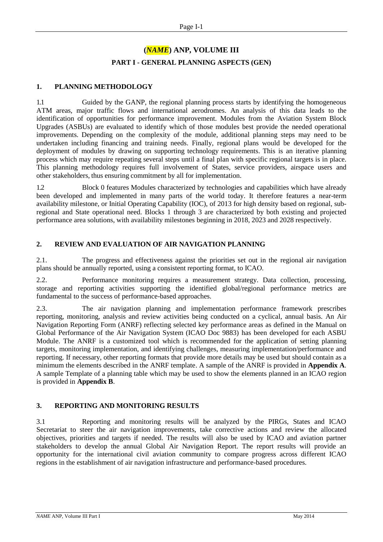## **(***NAME***) ANP, VOLUME III**

### **PART I - GENERAL PLANNING ASPECTS (GEN)**

## **1. PLANNING METHODOLOGY**

1.1 Guided by the GANP, the regional planning process starts by identifying the homogeneous ATM areas, major traffic flows and international aerodromes. An analysis of this data leads to the identification of opportunities for performance improvement. Modules from the Aviation System Block Upgrades (ASBUs) are evaluated to identify which of those modules best provide the needed operational improvements. Depending on the complexity of the module, additional planning steps may need to be undertaken including financing and training needs. Finally, regional plans would be developed for the deployment of modules by drawing on supporting technology requirements. This is an iterative planning process which may require repeating several steps until a final plan with specific regional targets is in place. This planning methodology requires full involvement of States, service providers, airspace users and other stakeholders, thus ensuring commitment by all for implementation.

1.2 Block 0 features Modules characterized by technologies and capabilities which have already been developed and implemented in many parts of the world today. It therefore features a near-term availability milestone, or Initial Operating Capability (IOC), of 2013 for high density based on regional, subregional and State operational need. Blocks 1 through 3 are characterized by both existing and projected performance area solutions, with availability milestones beginning in 2018, 2023 and 2028 respectively.

## **2. REVIEW AND EVALUATION OF AIR NAVIGATION PLANNING**

2.1. The progress and effectiveness against the priorities set out in the regional air navigation plans should be annually reported, using a consistent reporting format, to ICAO.

2.2. Performance monitoring requires a measurement strategy. Data collection, processing, storage and reporting activities supporting the identified global/regional performance metrics are fundamental to the success of performance-based approaches.

2.3. The air navigation planning and implementation performance framework prescribes reporting, monitoring, analysis and review activities being conducted on a cyclical, annual basis. An Air Navigation Reporting Form (ANRF) reflecting selected key performance areas as defined in the Manual on Global Performance of the Air Navigation System (ICAO Doc 9883) has been developed for each ASBU Module. The ANRF is a customized tool which is recommended for the application of setting planning targets, monitoring implementation, and identifying challenges, measuring implementation/performance and reporting. If necessary, other reporting formats that provide more details may be used but should contain as a minimum the elements described in the ANRF template. A sample of the ANRF is provided in **Appendix A**. A sample Template of a planning table which may be used to show the elements planned in an ICAO region is provided in **Appendix B**.

### **3. REPORTING AND MONITORING RESULTS**

3.1 Reporting and monitoring results will be analyzed by the PIRGs, States and ICAO Secretariat to steer the air navigation improvements, take corrective actions and review the allocated objectives, priorities and targets if needed. The results will also be used by ICAO and aviation partner stakeholders to develop the annual Global Air Navigation Report. The report results will provide an opportunity for the international civil aviation community to compare progress across different ICAO regions in the establishment of air navigation infrastructure and performance-based procedures.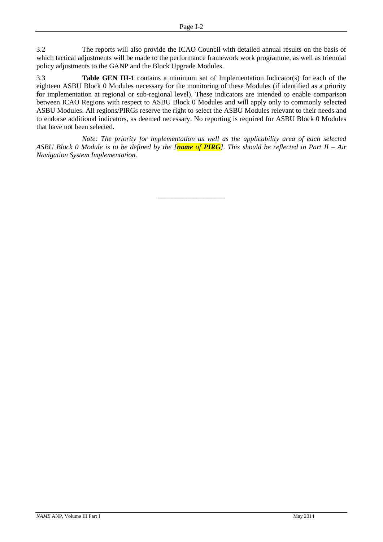3.2 The reports will also provide the ICAO Council with detailed annual results on the basis of which tactical adjustments will be made to the performance framework work programme, as well as triennial policy adjustments to the GANP and the Block Upgrade Modules.

3.3 **Table GEN III-1** contains a minimum set of Implementation Indicator(s) for each of the eighteen ASBU Block 0 Modules necessary for the monitoring of these Modules (if identified as a priority for implementation at regional or sub-regional level). These indicators are intended to enable comparison between ICAO Regions with respect to ASBU Block 0 Modules and will apply only to commonly selected ASBU Modules. All regions/PIRGs reserve the right to select the ASBU Modules relevant to their needs and to endorse additional indicators, as deemed necessary. No reporting is required for ASBU Block 0 Modules that have not been selected.

*Note: The priority for implementation as well as the applicability area of each selected ASBU Block 0 Module is to be defined by the [name of PIRG]. This should be reflected in Part II – Air Navigation System Implementation.*

\_\_\_\_\_\_\_\_\_\_\_\_\_\_\_\_\_\_\_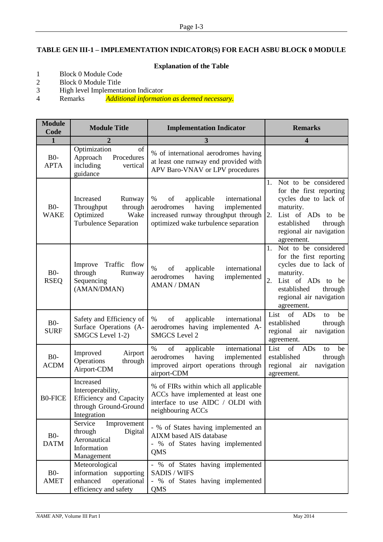## **TABLE GEN III-1 – IMPLEMENTATION INDICATOR(S) FOR EACH ASBU BLOCK 0 MODULE**

## **Explanation of the Table**

- 1 Block 0 Module Code<br>2 Block 0 Module Title
- 2 Block 0 Module Title<br>3 High level Implements
- 3 High level Implementation Indicator<br>4 Remarks *Additional information*
- Additional information as deemed necessary.

| <b>Module</b><br>Code | <b>Module Title</b>                                                                                      | <b>Implementation Indicator</b>                                                                                                                              | <b>Remarks</b>                                                                                                                                                                            |
|-----------------------|----------------------------------------------------------------------------------------------------------|--------------------------------------------------------------------------------------------------------------------------------------------------------------|-------------------------------------------------------------------------------------------------------------------------------------------------------------------------------------------|
| $\mathbf{1}$          | 2                                                                                                        | 3                                                                                                                                                            | 4                                                                                                                                                                                         |
| $B0-$<br><b>APTA</b>  | Optimization<br>of<br>Approach<br>Procedures<br>including<br>vertical<br>guidance                        | % of international aerodromes having<br>at least one runway end provided with<br>APV Baro-VNAV or LPV procedures                                             |                                                                                                                                                                                           |
| $B0-$<br><b>WAKE</b>  | Increased<br>Runway<br>Throughput<br>through<br>Optimized<br>Wake<br>Turbulence Separation               | of<br>applicable<br>international<br>%<br>having<br>implemented<br>aerodromes<br>increased runway throughput through<br>optimized wake turbulence separation | Not to be considered<br>1.<br>for the first reporting<br>cycles due to lack of<br>maturity.<br>2.<br>List of ADs to be<br>established<br>through<br>regional air navigation<br>agreement. |
| $B0-$<br><b>RSEQ</b>  | Traffic<br>Improve<br>flow<br>through<br>Runway<br>Sequencing<br>(AMAN/DMAN)                             | $\%$<br>of<br>applicable<br>international<br>having<br>implemented<br>aerodromes<br><b>AMAN / DMAN</b>                                                       | Not to be considered<br>1.<br>for the first reporting<br>cycles due to lack of<br>maturity.<br>2.<br>List of ADs to be<br>established<br>through<br>regional air navigation<br>agreement. |
| $B0-$<br><b>SURF</b>  | Safety and Efficiency of<br>Surface Operations (A-<br>SMGCS Level 1-2)                                   | of<br>applicable<br>international<br>%<br>aerodromes having implemented A-<br><b>SMGCS</b> Level 2                                                           | List<br>$\sigma$<br>ADs<br>be<br>to<br>established<br>through<br>regional<br>navigation<br>air<br>agreement.                                                                              |
| $B0-$<br><b>ACDM</b>  | Improved<br>Airport<br>Operations<br>through<br>Airport-CDM                                              | $\%$<br>of<br>applicable<br>international<br>having<br>implemented<br>aerodromes<br>improved airport operations through<br>airport-CDM                       | List<br>of<br>ADs<br>be<br>to<br>established<br>through<br>regional<br>navigation<br>air<br>agreement.                                                                                    |
| <b>B0-FICE</b>        | Increased<br>Interoperability,<br><b>Efficiency and Capacity</b><br>through Ground-Ground<br>Integration | % of FIRs within which all applicable<br>ACCs have implemented at least one<br>interface to use AIDC / OLDI with<br>neighbouring ACCs                        |                                                                                                                                                                                           |
| $B0-$<br><b>DATM</b>  | Service<br>Improvement<br>through<br>Digital<br>Aeronautical<br>Information<br>Management                | - % of States having implemented an<br><b>AIXM</b> based AIS database<br>- % of States having implemented<br>QMS                                             |                                                                                                                                                                                           |
| $B0-$<br><b>AMET</b>  | Meteorological<br>information<br>supporting<br>enhanced<br>operational<br>efficiency and safety          | - % of States having implemented<br><b>SADIS / WIFS</b><br>% of States having implemented<br>QMS                                                             |                                                                                                                                                                                           |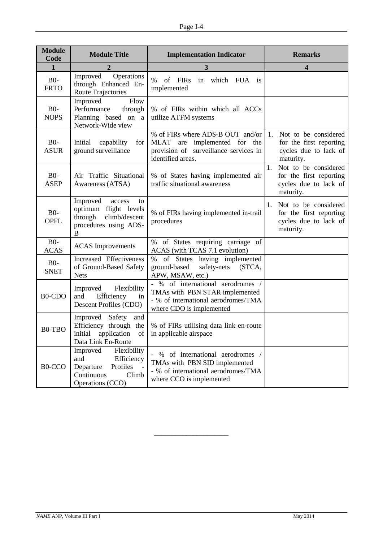| <b>Module</b><br>Code            | <b>Module Title</b>                                                                                                        | <b>Implementation Indicator</b>                                                                                                        | <b>Remarks</b>                                                                              |  |
|----------------------------------|----------------------------------------------------------------------------------------------------------------------------|----------------------------------------------------------------------------------------------------------------------------------------|---------------------------------------------------------------------------------------------|--|
| $\mathbf{1}$                     | 2                                                                                                                          | 3                                                                                                                                      | 4                                                                                           |  |
| $B0-$<br><b>FRTO</b>             | Improved<br>Operations<br>through Enhanced En-<br>Route Trajectories                                                       | $\%$<br>of FIRs<br>in which FUA is<br>implemented                                                                                      |                                                                                             |  |
| $B0-$<br><b>NOPS</b>             | Improved<br>Flow<br>Performance<br>through<br>Planning based on a<br>Network-Wide view                                     | % of FIRs within which all ACCs<br>utilize ATFM systems                                                                                |                                                                                             |  |
| $B0-$<br><b>ASUR</b>             | Initial capability<br>for<br>ground surveillance                                                                           | % of FIRs where ADS-B OUT and/or<br>MLAT are implemented for the<br>provision of surveillance services in<br>identified areas.         | Not to be considered<br>1.<br>for the first reporting<br>cycles due to lack of<br>maturity. |  |
| $B0-$<br><b>ASEP</b>             | Air Traffic Situational<br>Awareness (ATSA)                                                                                | % of States having implemented air<br>traffic situational awareness                                                                    | 1.<br>Not to be considered<br>for the first reporting<br>cycles due to lack of<br>maturity. |  |
| $B0-$<br><b>OPFL</b>             | Improved<br>access<br>to<br>optimum flight levels<br>through<br>climb/descent<br>procedures using ADS-<br>B                | % of FIRs having implemented in-trail<br>procedures                                                                                    | 1.<br>Not to be considered<br>for the first reporting<br>cycles due to lack of<br>maturity. |  |
| $B0-$<br><b>ACAS</b>             | <b>ACAS</b> Improvements                                                                                                   | $\%$<br>of States requiring carriage of<br>ACAS (with TCAS 7.1 evolution)                                                              |                                                                                             |  |
| $B0-$<br><b>SNET</b>             | Increased Effectiveness<br>of Ground-Based Safety<br><b>Nets</b>                                                           | of States having implemented<br>$\%$<br>ground-based<br>safety-nets (STCA,<br>APW, MSAW, etc.)                                         |                                                                                             |  |
| B <sub>0</sub> -C <sub>D</sub> O | Flexibility<br>Improved<br>Efficiency<br>and<br>in<br>Descent Profiles (CDO)                                               | - % of international aerodromes /<br>TMAs with PBN STAR implemented<br>- % of international aerodromes/TMA<br>where CDO is implemented |                                                                                             |  |
| B0-TBO                           | Improved<br>Safety<br>and<br>Efficiency through the<br>initial application of in applicable airspace<br>Data Link En-Route | % of FIRs utilising data link en-route                                                                                                 |                                                                                             |  |
| B0-CCO                           | Flexibility<br>Improved<br>Efficiency<br>and<br>Departure<br>Profiles<br>Continuous<br>Climb<br>Operations (CCO)           | % of international aerodromes /<br>TMAs with PBN SID implemented<br>- % of international aerodromes/TMA<br>where CCO is implemented    |                                                                                             |  |

\_\_\_\_\_\_\_\_\_\_\_\_\_\_\_\_\_\_\_\_\_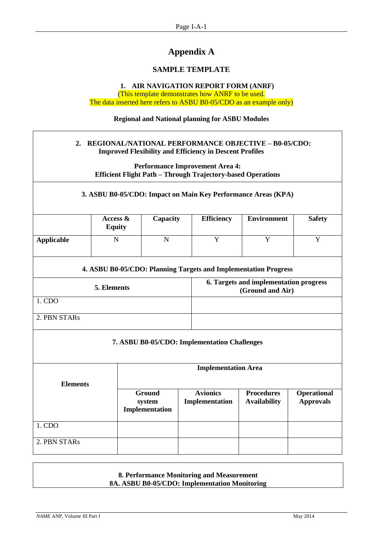## **Appendix A**

## **SAMPLE TEMPLATE**

### **1. AIR NAVIGATION REPORT FORM (ANRF)**

(This template demonstrates how ANRF to be used. The data inserted here refers to ASBU B0-05/CDO as an example only)

**Regional and National planning for ASBU Modules**

## **2. REGIONAL/NATIONAL PERFORMANCE OBJECTIVE – B0-05/CDO: Improved Flexibility and Efficiency in Descent Profiles**

**Performance Improvement Area 4: Efficient Flight Path – Through Trajectory-based Operations**

### **3. ASBU B0-05/CDO: Impact on Main Key Performance Areas (KPA)**

|            | Access $\&$<br><b>Equity</b> | Capacity | <b>Efficiency</b> | <b>Environment</b> | <b>Safety</b> |
|------------|------------------------------|----------|-------------------|--------------------|---------------|
| Applicable | N                            |          |                   |                    |               |

#### **4. ASBU B0-05/CDO: Planning Targets and Implementation Progress**

| 5. Elements  | 6. Targets and implementation progress<br>(Ground and Air) |
|--------------|------------------------------------------------------------|
| 1. CDO       |                                                            |
| 2. PBN STARs |                                                            |

### **7. ASBU B0-05/CDO: Implementation Challenges**

| <b>Elements</b> | <b>Implementation Area</b>                |                                   |                                          |                                 |  |
|-----------------|-------------------------------------------|-----------------------------------|------------------------------------------|---------------------------------|--|
|                 | <b>Ground</b><br>system<br>Implementation | <b>Avionics</b><br>Implementation | <b>Procedures</b><br><b>Availability</b> | Operational<br><b>Approvals</b> |  |
| 1. CDO          |                                           |                                   |                                          |                                 |  |
| 2. PBN STARs    |                                           |                                   |                                          |                                 |  |

### **8. Performance Monitoring and Measurement 8A. ASBU B0-05/CDO: Implementation Monitoring**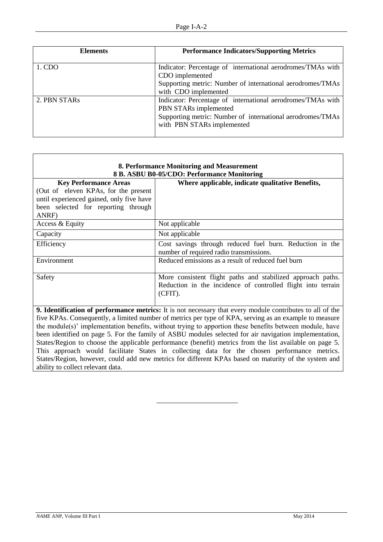| <b>Elements</b> | <b>Performance Indicators/Supporting Metrics</b>            |  |  |
|-----------------|-------------------------------------------------------------|--|--|
|                 |                                                             |  |  |
| 1. CDO          | Indicator: Percentage of international aerodromes/TMAs with |  |  |
|                 | CDO implemented                                             |  |  |
|                 | Supporting metric: Number of international aerodromes/TMAs  |  |  |
|                 | with CDO implemented                                        |  |  |
| 2. PBN STARS    | Indicator: Percentage of international aerodromes/TMAs with |  |  |
|                 | PBN STARs implemented                                       |  |  |
|                 | Supporting metric: Number of international aerodromes/TMAs  |  |  |
|                 | with PBN STARs implemented                                  |  |  |
|                 |                                                             |  |  |

| 8. Performance Monitoring and Measurement<br>8 B. ASBU B0-05/CDO: Performance Monitoring                         |                                                                                                     |  |  |  |
|------------------------------------------------------------------------------------------------------------------|-----------------------------------------------------------------------------------------------------|--|--|--|
| <b>Key Performance Areas</b>                                                                                     | Where applicable, indicate qualitative Benefits,                                                    |  |  |  |
| (Out of eleven KPAs, for the present                                                                             |                                                                                                     |  |  |  |
| until experienced gained, only five have                                                                         |                                                                                                     |  |  |  |
| been selected for reporting through<br>ANRF)                                                                     |                                                                                                     |  |  |  |
| Access & Equity                                                                                                  | Not applicable                                                                                      |  |  |  |
| Capacity                                                                                                         | Not applicable                                                                                      |  |  |  |
| Efficiency                                                                                                       | Cost savings through reduced fuel burn. Reduction in the<br>number of required radio transmissions. |  |  |  |
| Environment                                                                                                      | Reduced emissions as a result of reduced fuel burn                                                  |  |  |  |
| Safety                                                                                                           | More consistent flight paths and stabilized approach paths.                                         |  |  |  |
|                                                                                                                  | Reduction in the incidence of controlled flight into terrain                                        |  |  |  |
|                                                                                                                  | (CFIT).                                                                                             |  |  |  |
| <b>9. Identification of performance metrics:</b> It is not necessary that every module contributes to all of the |                                                                                                     |  |  |  |
| five KPAs. Consequently, a limited number of metrics per type of KPA, serving as an example to measure           |                                                                                                     |  |  |  |

five KPAs. Consequently, a limited number of metrics per type of KPA, serving as an example to measure the module(s)' implementation benefits, without trying to apportion these benefits between module, have been identified on page 5. For the family of ASBU modules selected for air navigation implementation, States/Region to choose the applicable performance (benefit) metrics from the list available on page 5. This approach would facilitate States in collecting data for the chosen performance metrics. States/Region, however, could add new metrics for different KPAs based on maturity of the system and ability to collect relevant data.

\_\_\_\_\_\_\_\_\_\_\_\_\_\_\_\_\_\_\_\_\_\_\_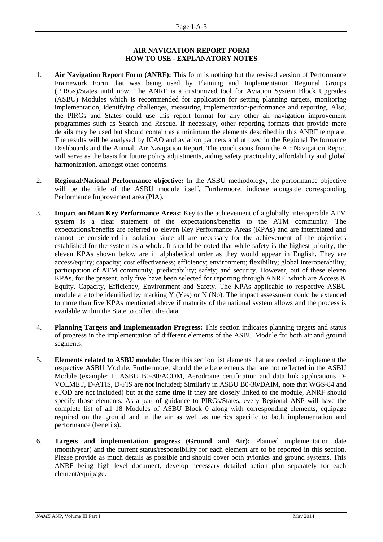### **AIR NAVIGATION REPORT FORM HOW TO USE - EXPLANATORY NOTES**

- 1. **Air Navigation Report Form (ANRF):** This form is nothing but the revised version of Performance Framework Form that was being used by Planning and Implementation Regional Groups (PIRGs)/States until now. The ANRF is a customized tool for Aviation System Block Upgrades (ASBU) Modules which is recommended for application for setting planning targets, monitoring implementation, identifying challenges, measuring implementation/performance and reporting. Also, the PIRGs and States could use this report format for any other air navigation improvement programmes such as Search and Rescue. If necessary, other reporting formats that provide more details may be used but should contain as a minimum the elements described in this ANRF template. The results will be analysed by ICAO and aviation partners and utilized in the Regional Performance Dashboards and the Annual Air Navigation Report. The conclusions from the Air Navigation Report will serve as the basis for future policy adjustments, aiding safety practicality, affordability and global harmonization, amongst other concerns.
- 2. **Regional/National Performance objective:** In the ASBU methodology, the performance objective will be the title of the ASBU module itself. Furthermore, indicate alongside corresponding Performance Improvement area (PIA).
- 3. **Impact on Main Key Performance Areas:** Key to the achievement of a globally interoperable ATM system is a clear statement of the expectations/benefits to the ATM community. The expectations/benefits are referred to eleven Key Performance Areas (KPAs) and are interrelated and cannot be considered in isolation since all are necessary for the achievement of the objectives established for the system as a whole. It should be noted that while safety is the highest priority, the eleven KPAs shown below are in alphabetical order as they would appear in English. They are access/equity; capacity; cost effectiveness; efficiency; environment; flexibility; global interoperability; participation of ATM community; predictability; safety; and security. However, out of these eleven KPAs, for the present, only five have been selected for reporting through ANRF, which are Access  $\&$ Equity, Capacity, Efficiency, Environment and Safety. The KPAs applicable to respective ASBU module are to be identified by marking Y (Yes) or N (No). The impact assessment could be extended to more than five KPAs mentioned above if maturity of the national system allows and the process is available within the State to collect the data.
- 4. **Planning Targets and Implementation Progress:** This section indicates planning targets and status of progress in the implementation of different elements of the ASBU Module for both air and ground segments.
- 5. **Elements related to ASBU module:** Under this section list elements that are needed to implement the respective ASBU Module. Furthermore, should there be elements that are not reflected in the ASBU Module (example: In ASBU B0-80/ACDM, Aerodrome certification and data link applications D-VOLMET, D-ATIS, D-FIS are not included; Similarly in ASBU B0-30/DAIM, note that WGS-84 and eTOD are not included) but at the same time if they are closely linked to the module, ANRF should specify those elements. As a part of guidance to PIRGs/States, every Regional ANP will have the complete list of all 18 Modules of ASBU Block 0 along with corresponding elements, equipage required on the ground and in the air as well as metrics specific to both implementation and performance (benefits).
- 6. **Targets and implementation progress (Ground and Air):** Planned implementation date (month/year) and the current status/responsibility for each element are to be reported in this section. Please provide as much details as possible and should cover both avionics and ground systems. This ANRF being high level document, develop necessary detailed action plan separately for each element/equipage.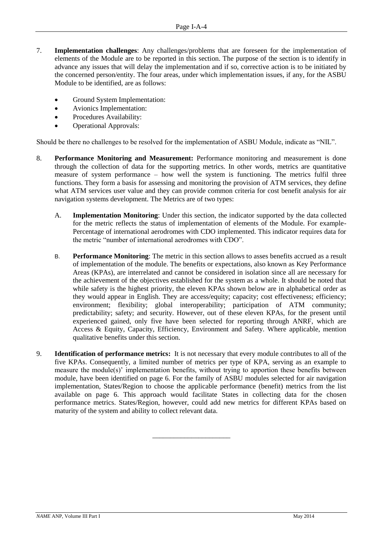- 7. **Implementation challenges**: Any challenges/problems that are foreseen for the implementation of elements of the Module are to be reported in this section. The purpose of the section is to identify in advance any issues that will delay the implementation and if so, corrective action is to be initiated by the concerned person/entity. The four areas, under which implementation issues, if any, for the ASBU Module to be identified, are as follows:
	- Ground System Implementation:
	- Avionics Implementation:
	- Procedures Availability:
	- Operational Approvals:

Should be there no challenges to be resolved for the implementation of ASBU Module, indicate as "NIL".

- 8. **Performance Monitoring and Measurement:** Performance monitoring and measurement is done through the collection of data for the supporting metrics. In other words, metrics are quantitative measure of system performance – how well the system is functioning. The metrics fulfil three functions. They form a basis for assessing and monitoring the provision of ATM services, they define what ATM services user value and they can provide common criteria for cost benefit analysis for air navigation systems development. The Metrics are of two types:
	- A. **Implementation Monitoring**: Under this section, the indicator supported by the data collected for the metric reflects the status of implementation of elements of the Module. For example-Percentage of international aerodromes with CDO implemented. This indicator requires data for the metric "number of international aerodromes with CDO".
	- B. **Performance Monitoring**: The metric in this section allows to asses benefits accrued as a result of implementation of the module. The benefits or expectations, also known as Key Performance Areas (KPAs), are interrelated and cannot be considered in isolation since all are necessary for the achievement of the objectives established for the system as a whole. It should be noted that while safety is the highest priority, the eleven KPAs shown below are in alphabetical order as they would appear in English. They are access/equity; capacity; cost effectiveness; efficiency; environment; flexibility; global interoperability; participation of ATM community; predictability; safety; and security. However, out of these eleven KPAs, for the present until experienced gained, only five have been selected for reporting through ANRF, which are Access & Equity, Capacity, Efficiency, Environment and Safety. Where applicable, mention qualitative benefits under this section.
- 9. **Identification of performance metrics:** It is not necessary that every module contributes to all of the five KPAs. Consequently, a limited number of metrics per type of KPA, serving as an example to measure the module(s)' implementation benefits, without trying to apportion these benefits between module, have been identified on page 6. For the family of ASBU modules selected for air navigation implementation, States/Region to choose the applicable performance (benefit) metrics from the list available on page 6. This approach would facilitate States in collecting data for the chosen performance metrics. States/Region, however, could add new metrics for different KPAs based on maturity of the system and ability to collect relevant data.

\_\_\_\_\_\_\_\_\_\_\_\_\_\_\_\_\_\_\_\_\_\_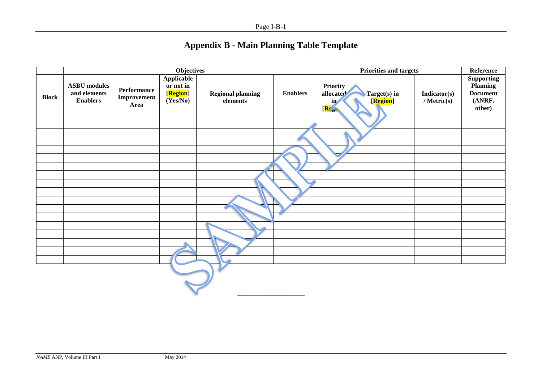| <b>Appendix B - Main Planning Table Template</b> |  |
|--------------------------------------------------|--|
|--------------------------------------------------|--|

|              |                                                        |                                    | <b>Objectives</b>                                                     |                                      |                 | <b>Priorities and targets</b>                                                     |                             | Reference                                                     |
|--------------|--------------------------------------------------------|------------------------------------|-----------------------------------------------------------------------|--------------------------------------|-----------------|-----------------------------------------------------------------------------------|-----------------------------|---------------------------------------------------------------|
| <b>Block</b> | <b>ASBU</b> modules<br>and elements<br><b>Enablers</b> | Performance<br>Improvement<br>Area | <b>Applicable</b><br>or not in<br>[ <mark>Region</mark> ]<br>(Yes/No) | <b>Regional planning</b><br>elements | <b>Enablers</b> | Priority<br>allocated<br>Target(s) in<br>[Region]<br>$\mathbf{in}$<br>$R_{\rm s}$ | Indicator(s)<br>/ Metric(s) | Supporting<br>Planning<br><b>Document</b><br>(ANRF,<br>other) |
|              |                                                        |                                    |                                                                       |                                      |                 |                                                                                   |                             |                                                               |
|              |                                                        |                                    |                                                                       |                                      |                 |                                                                                   |                             |                                                               |
|              |                                                        |                                    |                                                                       |                                      |                 |                                                                                   |                             |                                                               |
|              |                                                        |                                    |                                                                       |                                      |                 |                                                                                   |                             |                                                               |
|              |                                                        |                                    |                                                                       |                                      |                 |                                                                                   |                             |                                                               |
|              |                                                        |                                    |                                                                       |                                      |                 |                                                                                   |                             |                                                               |
|              |                                                        |                                    |                                                                       |                                      |                 |                                                                                   |                             |                                                               |
|              |                                                        |                                    |                                                                       |                                      |                 |                                                                                   |                             |                                                               |
|              |                                                        |                                    |                                                                       |                                      |                 |                                                                                   |                             |                                                               |
|              |                                                        |                                    |                                                                       |                                      |                 |                                                                                   |                             |                                                               |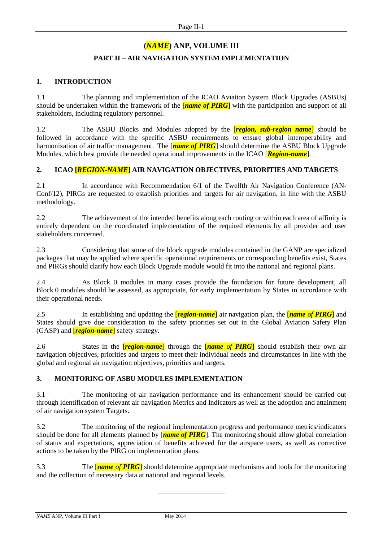## **(***NAME***) ANP, VOLUME III**

## **PART II – AIR NAVIGATION SYSTEM IMPLEMENTATION**

## **1. INTRODUCTION**

1.1 The planning and implementation of the ICAO Aviation System Block Upgrades (ASBUs) should be undertaken within the framework of the [*name of PIRG*] with the participation and support of all stakeholders, including regulatory personnel.

1.2 The ASBU Blocks and Modules adopted by the [*region, sub-region name*] should be followed in accordance with the specific ASBU requirements to ensure global interoperability and harmonization of air traffic management. The [*name of PIRG*] should determine the ASBU Block Upgrade Modules, which best provide the needed operational improvements in the ICAO [*Region-name*].

## **2. ICAO [***REGION-NAME***] AIR NAVIGATION OBJECTIVES, PRIORITIES AND TARGETS**

2.1 In accordance with Recommendation 6/1 of the Twelfth Air Navigation Conference (AN-Conf/12), PIRGs are requested to establish priorities and targets for air navigation, in line with the ASBU methodology.

2.2 The achievement of the intended benefits along each routing or within each area of affinity is entirely dependent on the coordinated implementation of the required elements by all provider and user stakeholders concerned.

2.3 Considering that some of the block upgrade modules contained in the GANP are specialized packages that may be applied where specific operational requirements or corresponding benefits exist, States and PIRGs should clarify how each Block Upgrade module would fit into the national and regional plans.

2.4 As Block 0 modules in many cases provide the foundation for future development, all Block 0 modules should be assessed, as appropriate, for early implementation by States in accordance with their operational needs.

2.5 In establishing and updating the [*region-name*] air navigation plan, the [*name of PIRG*] and States should give due consideration to the safety priorities set out in the Global Aviation Safety Plan (GASP) and [*region-name*] safety strategy.

2.6 States in the [*region-name*] through the [*name of PIRG*] should establish their own air navigation objectives, priorities and targets to meet their individual needs and circumstances in line with the global and regional air navigation objectives, priorities and targets.

## **3. MONITORING OF ASBU MODULES IMPLEMENTATION**

3.1 The monitoring of air navigation performance and its enhancement should be carried out through identification of relevant air navigation Metrics and Indicators as well as the adoption and attainment of air navigation system Targets.

3.2 The monitoring of the regional implementation progress and performance metrics/indicators should be done for all elements planned by [*name of PIRG*]. The monitoring should allow global correlation of status and expectations, appreciation of benefits achieved for the airspace users, as well as corrective actions to be taken by the PIRG on implementation plans.

3.3 The [*name of PIRG*] should determine appropriate mechanisms and tools for the monitoring and the collection of necessary data at national and regional levels.

\_\_\_\_\_\_\_\_\_\_\_\_\_\_\_\_\_\_\_

*NAME* ANP, Volume III Part I May 2014